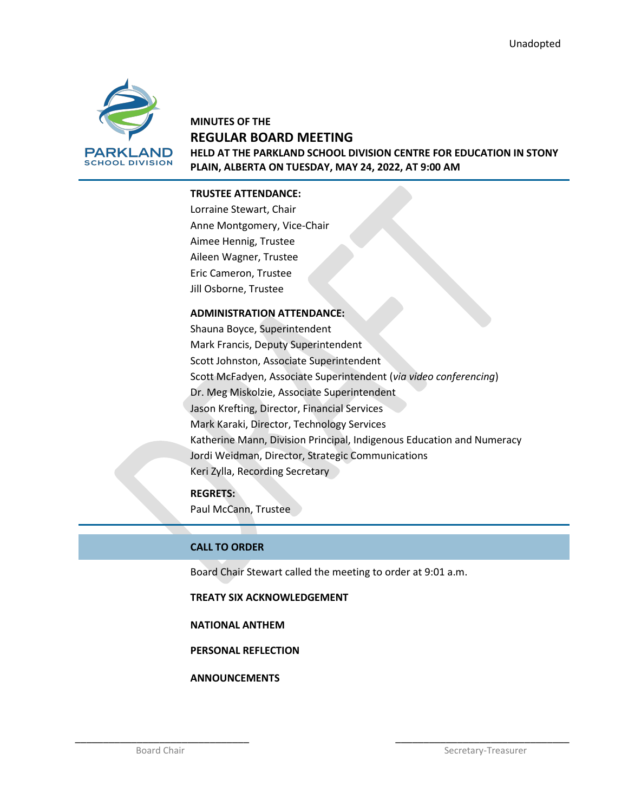

## **MINUTES OF THE REGULAR BOARD MEETING HELD AT THE PARKLAND SCHOOL DIVISION CENTRE FOR EDUCATION IN STONY PLAIN, ALBERTA ON TUESDAY, MAY 24, 2022, AT 9:00 AM**

## **TRUSTEE ATTENDANCE:**

Lorraine Stewart, Chair Anne Montgomery, Vice-Chair Aimee Hennig, Trustee Aileen Wagner, Trustee Eric Cameron, Trustee Jill Osborne, Trustee

### **ADMINISTRATION ATTENDANCE:**

Shauna Boyce, Superintendent Mark Francis, Deputy Superintendent Scott Johnston, Associate Superintendent Scott McFadyen, Associate Superintendent (*via video conferencing*) Dr. Meg Miskolzie, Associate Superintendent Jason Krefting, Director, Financial Services Mark Karaki, Director, Technology Services Katherine Mann, Division Principal, Indigenous Education and Numeracy Jordi Weidman, Director, Strategic Communications Keri Zylla, Recording Secretary

## **REGRETS:**

Paul McCann, Trustee

## **CALL TO ORDER**

Board Chair Stewart called the meeting to order at 9:01 a.m.

\_\_\_\_\_\_\_\_\_\_\_\_\_\_\_\_\_\_\_\_\_\_\_\_\_\_\_\_\_\_\_ \_\_\_\_\_\_\_\_\_\_\_\_\_\_\_\_\_\_\_\_\_\_\_\_\_\_\_\_\_\_\_

**TREATY SIX ACKNOWLEDGEMENT**

#### **NATIONAL ANTHEM**

**PERSONAL REFLECTION**

**ANNOUNCEMENTS**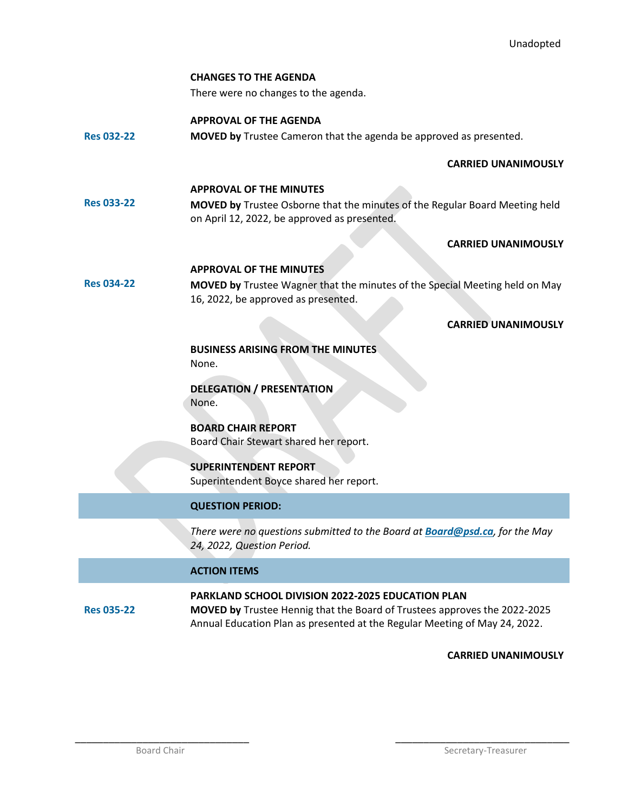#### **CHANGES TO THE AGENDA**

There were no changes to the agenda.

## **APPROVAL OF THE AGENDA**

**Res 032-22 MOVED by** Trustee Cameron that the agenda be approved as presented.

## **CARRIED UNANIMOUSLY**

#### **APPROVAL OF THE MINUTES**

**Res 033-22 MOVED by** Trustee Osborne that the minutes of the Regular Board Meeting held on April 12, 2022, be approved as presented.

### **CARRIED UNANIMOUSLY**

## **APPROVAL OF THE MINUTES**

**Res 034-22**

**MOVED by** Trustee Wagner that the minutes of the Special Meeting held on May 16, 2022, be approved as presented.

## **CARRIED UNANIMOUSLY**

**BUSINESS ARISING FROM THE MINUTES** None.

## **DELEGATION / PRESENTATION** None.

**BOARD CHAIR REPORT** Board Chair Stewart shared her report.

# **SUPERINTENDENT REPORT**

Superintendent Boyce shared her report.

## **QUESTION PERIOD:**

*There were no questions submitted to the Board at [Board@psd.ca](mailto:Board@psd.ca), for the May 24, 2022, Question Period.*

## **ACTION ITEMS**

#### **Res 035-22 PARKLAND SCHOOL DIVISION 2022-2025 EDUCATION PLAN MOVED by** Trustee Hennig that the Board of Trustees approves the 2022-2025 Annual Education Plan as presented at the Regular Meeting of May 24, 2022.

\_\_\_\_\_\_\_\_\_\_\_\_\_\_\_\_\_\_\_\_\_\_\_\_\_\_\_\_\_\_\_ \_\_\_\_\_\_\_\_\_\_\_\_\_\_\_\_\_\_\_\_\_\_\_\_\_\_\_\_\_\_\_

## **CARRIED UNANIMOUSLY**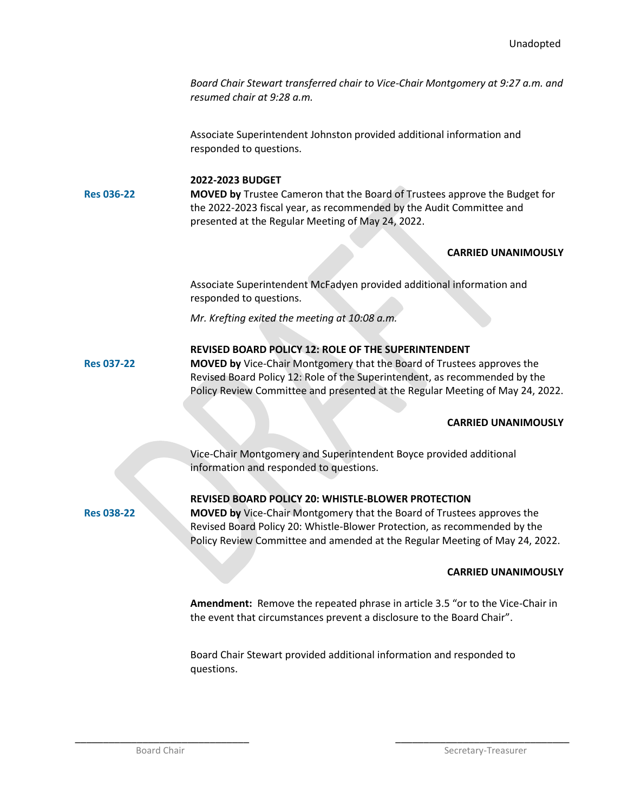*Board Chair Stewart transferred chair to Vice-Chair Montgomery at 9:27 a.m. and resumed chair at 9:28 a.m.*

Associate Superintendent Johnston provided additional information and responded to questions.

## **2022-2023 BUDGET**

**Res 036-22**

**MOVED by** Trustee Cameron that the Board of Trustees approve the Budget for the 2022-2023 fiscal year, as recommended by the Audit Committee and presented at the Regular Meeting of May 24, 2022.

## **CARRIED UNANIMOUSLY**

Associate Superintendent McFadyen provided additional information and responded to questions.

*Mr. Krefting exited the meeting at 10:08 a.m.*

## **REVISED BOARD POLICY 12: ROLE OF THE SUPERINTENDENT**

**MOVED by** Vice-Chair Montgomery that the Board of Trustees approves the Revised Board Policy 12: Role of the Superintendent, as recommended by the Policy Review Committee and presented at the Regular Meeting of May 24, 2022.

## **CARRIED UNANIMOUSLY**

Vice-Chair Montgomery and Superintendent Boyce provided additional information and responded to questions.

**Res 038-22**

**Res 037-22**

## **REVISED BOARD POLICY 20: WHISTLE-BLOWER PROTECTION**

**MOVED by** Vice-Chair Montgomery that the Board of Trustees approves the Revised Board Policy 20: Whistle-Blower Protection, as recommended by the Policy Review Committee and amended at the Regular Meeting of May 24, 2022.

## **CARRIED UNANIMOUSLY**

**Amendment:** Remove the repeated phrase in article 3.5 "or to the Vice-Chair in the event that circumstances prevent a disclosure to the Board Chair".

Board Chair Stewart provided additional information and responded to questions.

\_\_\_\_\_\_\_\_\_\_\_\_\_\_\_\_\_\_\_\_\_\_\_\_\_\_\_\_\_\_\_ \_\_\_\_\_\_\_\_\_\_\_\_\_\_\_\_\_\_\_\_\_\_\_\_\_\_\_\_\_\_\_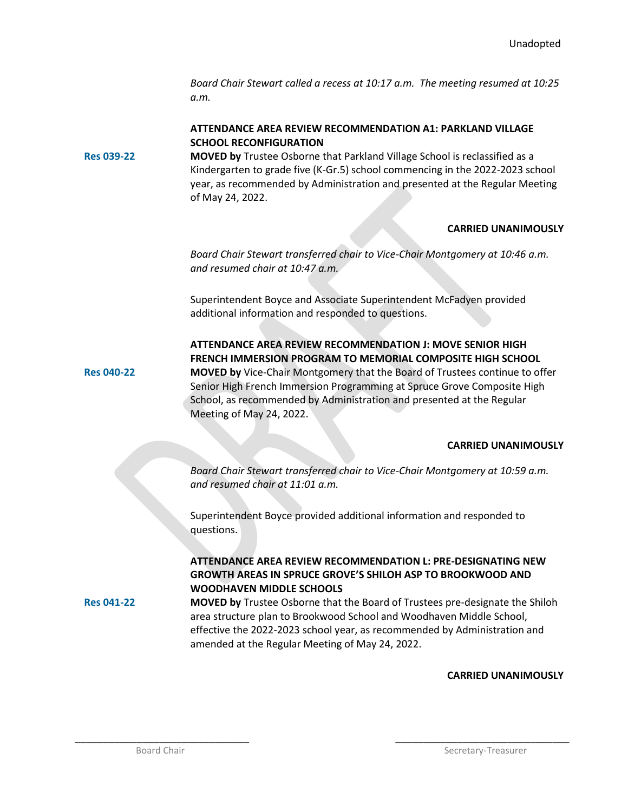*Board Chair Stewart called a recess at 10:17 a.m. The meeting resumed at 10:25 a.m.*

## **ATTENDANCE AREA REVIEW RECOMMENDATION A1: PARKLAND VILLAGE SCHOOL RECONFIGURATION**

**Res 039-22 MOVED by** Trustee Osborne that Parkland Village School is reclassified as a Kindergarten to grade five (K-Gr.5) school commencing in the 2022-2023 school year, as recommended by Administration and presented at the Regular Meeting of May 24, 2022.

## **CARRIED UNANIMOUSLY**

*Board Chair Stewart transferred chair to Vice-Chair Montgomery at 10:46 a.m. and resumed chair at 10:47 a.m.*

Superintendent Boyce and Associate Superintendent McFadyen provided additional information and responded to questions.

**Res 040-22**

**ATTENDANCE AREA REVIEW RECOMMENDATION J: MOVE SENIOR HIGH FRENCH IMMERSION PROGRAM TO MEMORIAL COMPOSITE HIGH SCHOOL MOVED by** Vice-Chair Montgomery that the Board of Trustees continue to offer Senior High French Immersion Programming at Spruce Grove Composite High School, as recommended by Administration and presented at the Regular Meeting of May 24, 2022.

## **CARRIED UNANIMOUSLY**

*Board Chair Stewart transferred chair to Vice-Chair Montgomery at 10:59 a.m. and resumed chair at 11:01 a.m.*

Superintendent Boyce provided additional information and responded to questions.

## **ATTENDANCE AREA REVIEW RECOMMENDATION L: PRE-DESIGNATING NEW GROWTH AREAS IN SPRUCE GROVE'S SHILOH ASP TO BROOKWOOD AND WOODHAVEN MIDDLE SCHOOLS**

**Res 041-22**

**MOVED by** Trustee Osborne that the Board of Trustees pre-designate the Shiloh area structure plan to Brookwood School and Woodhaven Middle School, effective the 2022-2023 school year, as recommended by Administration and amended at the Regular Meeting of May 24, 2022.

\_\_\_\_\_\_\_\_\_\_\_\_\_\_\_\_\_\_\_\_\_\_\_\_\_\_\_\_\_\_\_ \_\_\_\_\_\_\_\_\_\_\_\_\_\_\_\_\_\_\_\_\_\_\_\_\_\_\_\_\_\_\_

## **CARRIED UNANIMOUSLY**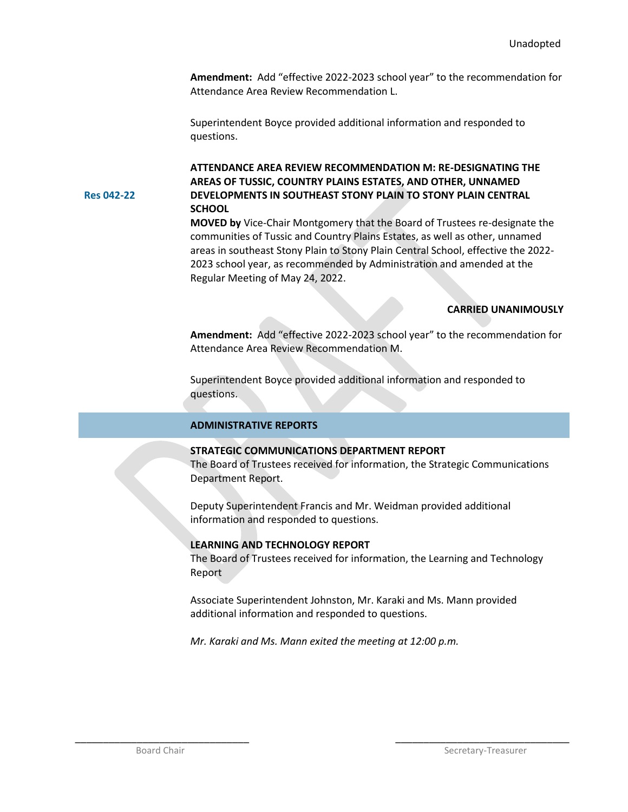**Amendment:** Add "effective 2022-2023 school year" to the recommendation for Attendance Area Review Recommendation L.

Superintendent Boyce provided additional information and responded to questions.

**ATTENDANCE AREA REVIEW RECOMMENDATION M: RE-DESIGNATING THE AREAS OF TUSSIC, COUNTRY PLAINS ESTATES, AND OTHER, UNNAMED DEVELOPMENTS IN SOUTHEAST STONY PLAIN TO STONY PLAIN CENTRAL SCHOOL**

**MOVED by** Vice-Chair Montgomery that the Board of Trustees re-designate the communities of Tussic and Country Plains Estates, as well as other, unnamed areas in southeast Stony Plain to Stony Plain Central School, effective the 2022- 2023 school year, as recommended by Administration and amended at the Regular Meeting of May 24, 2022.

#### **CARRIED UNANIMOUSLY**

**Amendment:** Add "effective 2022-2023 school year" to the recommendation for Attendance Area Review Recommendation M.

Superintendent Boyce provided additional information and responded to questions.

#### **ADMINISTRATIVE REPORTS**

### **STRATEGIC COMMUNICATIONS DEPARTMENT REPORT**

The Board of Trustees received for information, the Strategic Communications Department Report.

Deputy Superintendent Francis and Mr. Weidman provided additional information and responded to questions.

#### **LEARNING AND TECHNOLOGY REPORT**

The Board of Trustees received for information, the Learning and Technology Report

Associate Superintendent Johnston, Mr. Karaki and Ms. Mann provided additional information and responded to questions.

*Mr. Karaki and Ms. Mann exited the meeting at 12:00 p.m.*

\_\_\_\_\_\_\_\_\_\_\_\_\_\_\_\_\_\_\_\_\_\_\_\_\_\_\_\_\_\_\_ \_\_\_\_\_\_\_\_\_\_\_\_\_\_\_\_\_\_\_\_\_\_\_\_\_\_\_\_\_\_\_

**Res 042-22**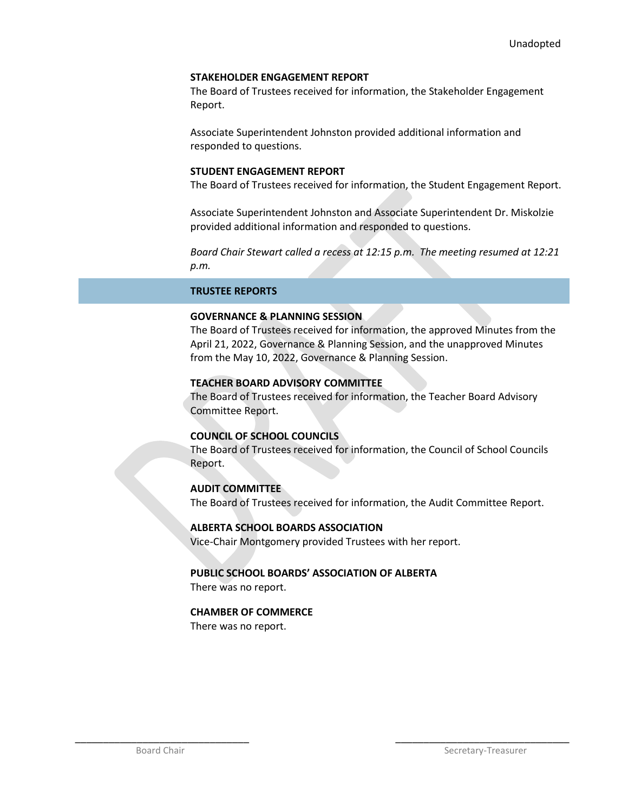### **STAKEHOLDER ENGAGEMENT REPORT**

The Board of Trustees received for information, the Stakeholder Engagement Report.

Associate Superintendent Johnston provided additional information and responded to questions.

### **STUDENT ENGAGEMENT REPORT**

The Board of Trustees received for information, the Student Engagement Report.

Associate Superintendent Johnston and Associate Superintendent Dr. Miskolzie provided additional information and responded to questions.

*Board Chair Stewart called a recess at 12:15 p.m. The meeting resumed at 12:21 p.m.*

## **TRUSTEE REPORTS**

## **GOVERNANCE & PLANNING SESSION**

The Board of Trustees received for information, the approved Minutes from the April 21, 2022, Governance & Planning Session, and the unapproved Minutes from the May 10, 2022, Governance & Planning Session.

## **TEACHER BOARD ADVISORY COMMITTEE**

The Board of Trustees received for information, the Teacher Board Advisory Committee Report.

## **COUNCIL OF SCHOOL COUNCILS**

The Board of Trustees received for information, the Council of School Councils Report.

## **AUDIT COMMITTEE**

The Board of Trustees received for information, the Audit Committee Report.

#### **ALBERTA SCHOOL BOARDS ASSOCIATION**

Vice-Chair Montgomery provided Trustees with her report.

## **PUBLIC SCHOOL BOARDS' ASSOCIATION OF ALBERTA**

\_\_\_\_\_\_\_\_\_\_\_\_\_\_\_\_\_\_\_\_\_\_\_\_\_\_\_\_\_\_\_ \_\_\_\_\_\_\_\_\_\_\_\_\_\_\_\_\_\_\_\_\_\_\_\_\_\_\_\_\_\_\_

There was no report.

#### **CHAMBER OF COMMERCE**

There was no report.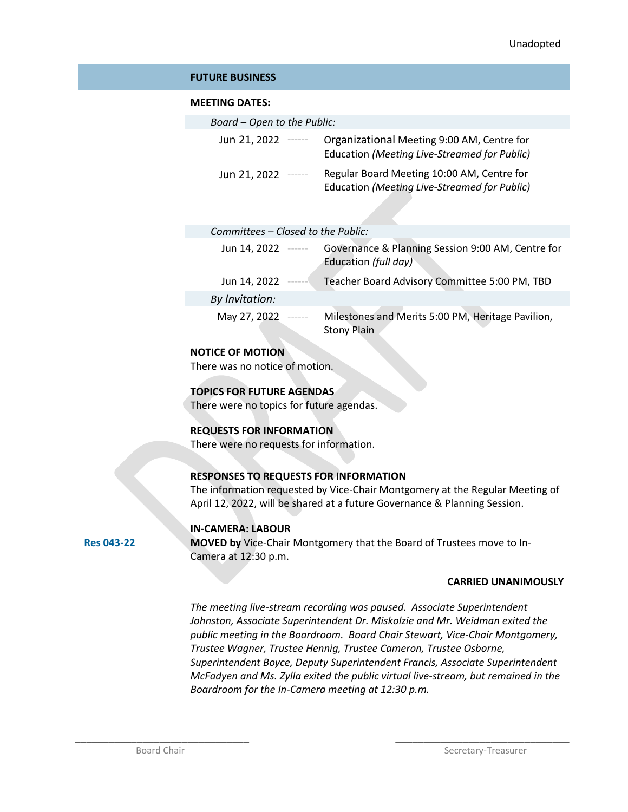### **FUTURE BUSINESS**

### **MEETING DATES:**

| Board - Open to the Public:                          |                                                                                            |
|------------------------------------------------------|--------------------------------------------------------------------------------------------|
| Jun 21, 2022<br>$\cdots \cdots \cdots \cdots \cdots$ | Organizational Meeting 9:00 AM, Centre for<br>Education (Meeting Live-Streamed for Public) |
| Jun 21, 2022                                         | Regular Board Meeting 10:00 AM, Centre for<br>Education (Meeting Live-Streamed for Public) |

| Committees – Closed to the Public: |  |
|------------------------------------|--|
|------------------------------------|--|

| Jun 14, 2022   | $\begin{tabular}{cccccccccc} \multicolumn{2}{c}{} & \multicolumn{2}{c}{} & \multicolumn{2}{c}{} & \multicolumn{2}{c}{} & \multicolumn{2}{c}{} & \multicolumn{2}{c}{} & \multicolumn{2}{c}{} & \multicolumn{2}{c}{} & \multicolumn{2}{c}{} & \multicolumn{2}{c}{} & \multicolumn{2}{c}{} & \multicolumn{2}{c}{} & \multicolumn{2}{c}{} & \multicolumn{2}{c}{} & \multicolumn{2}{c}{} & \multicolumn{2}{c}{} & \multicolumn{2}{c}{} & \multicolumn{2}{c}{} & \multicolumn{2}{c}{} & \$ | Governance & Planning Session 9:00 AM, Centre for<br>Education (full day) |
|----------------|--------------------------------------------------------------------------------------------------------------------------------------------------------------------------------------------------------------------------------------------------------------------------------------------------------------------------------------------------------------------------------------------------------------------------------------------------------------------------------------|---------------------------------------------------------------------------|
| Jun 14, 2022   | -------                                                                                                                                                                                                                                                                                                                                                                                                                                                                              | Teacher Board Advisory Committee 5:00 PM, TBD                             |
| By Invitation: |                                                                                                                                                                                                                                                                                                                                                                                                                                                                                      |                                                                           |
| May 27, 2022   | -------                                                                                                                                                                                                                                                                                                                                                                                                                                                                              | Milestones and Merits 5:00 PM, Heritage Pavilion,<br><b>Stony Plain</b>   |

## **NOTICE OF MOTION**

There was no notice of motion.

## **TOPICS FOR FUTURE AGENDAS**

There were no topics for future agendas.

## **REQUESTS FOR INFORMATION**

There were no requests for information.

## **RESPONSES TO REQUESTS FOR INFORMATION**

The information requested by Vice-Chair Montgomery at the Regular Meeting of April 12, 2022, will be shared at a future Governance & Planning Session.

#### **IN-CAMERA: LABOUR**

**MOVED by** Vice-Chair Montgomery that the Board of Trustees move to In-Camera at 12:30 p.m.

#### **CARRIED UNANIMOUSLY**

*The meeting live-stream recording was paused. Associate Superintendent Johnston, Associate Superintendent Dr. Miskolzie and Mr. Weidman exited the public meeting in the Boardroom. Board Chair Stewart, Vice-Chair Montgomery, Trustee Wagner, Trustee Hennig, Trustee Cameron, Trustee Osborne, Superintendent Boyce, Deputy Superintendent Francis, Associate Superintendent McFadyen and Ms. Zylla exited the public virtual live-stream, but remained in the Boardroom for the In-Camera meeting at 12:30 p.m.*

\_\_\_\_\_\_\_\_\_\_\_\_\_\_\_\_\_\_\_\_\_\_\_\_\_\_\_\_\_\_\_ \_\_\_\_\_\_\_\_\_\_\_\_\_\_\_\_\_\_\_\_\_\_\_\_\_\_\_\_\_\_\_

**Res 043-22**